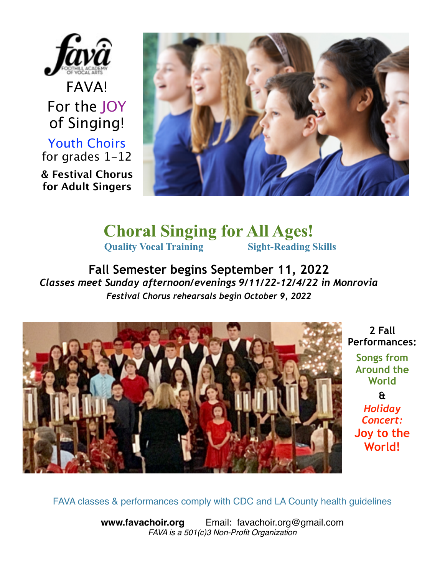

FAVA! For the JOY of Singing! Youth Choirs for grades 1-12 **& Festival Chorus for Adult Singers**



**Choral Singing for All Ages! Quality Vocal Training Sight-Reading Skills** 

**Fall Semester begins September 11, 2022**  *Classes meet Sunday afternoon/evenings 9/11/22-12/4/22 in Monrovia Festival Chorus rehearsals begin October 9, 2022* 



**2 Fall Performances:** 

**Songs from Around the World &**  *Holiday Concert:* **Joy to the World!** 

FAVA classes & performances comply with CDC and LA County health guidelines

**[www.favachoir.org](http://www.favachoir.org)** Email: favachoir.org@gmail.com *FAVA is a 501(c)3 Non-Profit Organization*